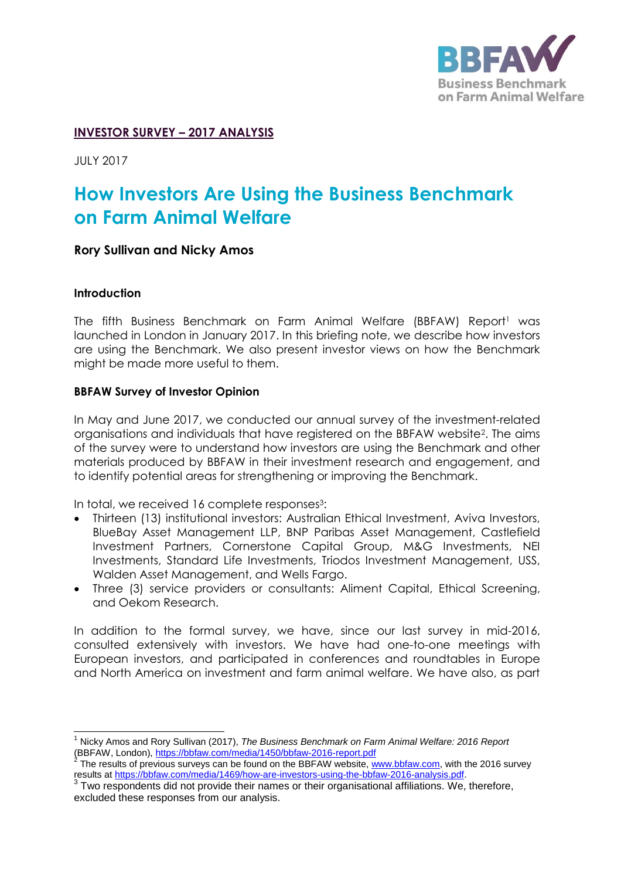

## **INVESTOR SURVEY – 2017 ANALYSIS**

JULY 2017

# **How Investors Are Using the Business Benchmark on Farm Animal Welfare**

#### **Rory Sullivan and Nicky Amos**

#### **Introduction**

The fifth Business Benchmark on Farm Animal Welfare (BBFAW) Report<sup>1</sup> was launched in London in January 2017. In this briefing note, we describe how investors are using the Benchmark. We also present investor views on how the Benchmark might be made more useful to them.

#### **BBFAW Survey of Investor Opinion**

In May and June 2017, we conducted our annual survey of the investment-related organisations and individuals that have registered on the BBFAW website<sup>2</sup> . The aims of the survey were to understand how investors are using the Benchmark and other materials produced by BBFAW in their investment research and engagement, and to identify potential areas for strengthening or improving the Benchmark.

In total, we received 16 complete responses<sup>3</sup>:

- Thirteen (13) institutional investors: Australian Ethical Investment, Aviva Investors, BlueBay Asset Management LLP, BNP Paribas Asset Management, Castlefield Investment Partners, Cornerstone Capital Group, M&G Investments, NEI Investments, Standard Life Investments, Triodos Investment Management, USS, Walden Asset Management, and Wells Fargo.
- Three (3) service providers or consultants: Aliment Capital, Ethical Screening, and Oekom Research.

In addition to the formal survey, we have, since our last survey in mid-2016, consulted extensively with investors. We have had one-to-one meetings with European investors, and participated in conferences and roundtables in Europe and North America on investment and farm animal welfare. We have also, as part

j <sup>1</sup> Nicky Amos and Rory Sullivan (2017), *The Business Benchmark on Farm Animal Welfare: 2016 Report*  (BBFAW, London),<https://bbfaw.com/media/1450/bbfaw-2016-report.pdf>

<sup>2</sup> The results of previous surveys can be found on the BBFAW website, [www.bbfaw.com,](http://www.bbfaw.com/) with the 2016 survey results at <u>https://bbfaw.com/media/1469/how-are-investors-using-the-bbfaw-2016-analysis.pdf</u>.<br><sup>3</sup> Two respondents did not provide their names or their organisational affiliations. We, therefore,

excluded these responses from our analysis.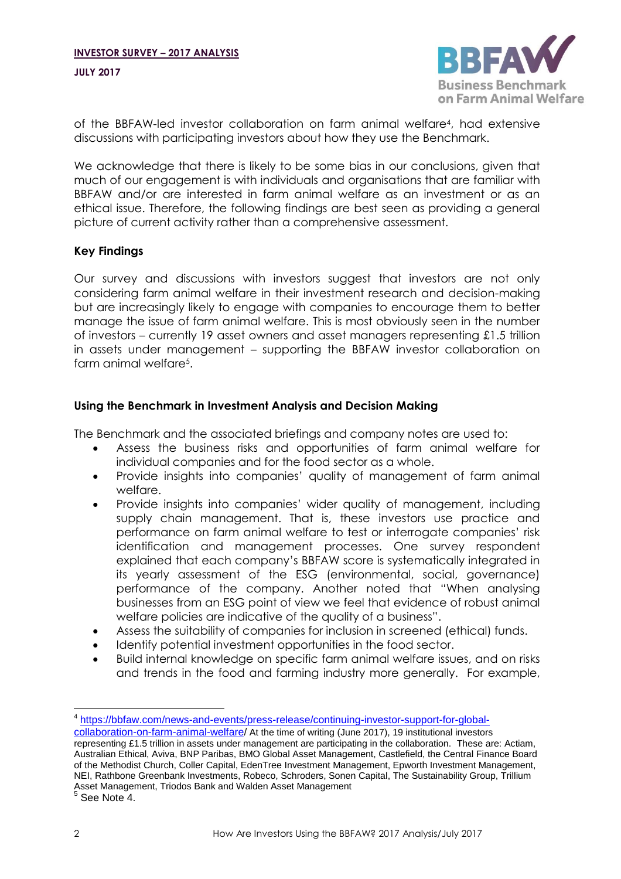<span id="page-1-0"></span>

of the BBFAW-led investor collaboration on farm animal welfare<sup>4</sup> , had extensive discussions with participating investors about how they use the Benchmark.

We acknowledge that there is likely to be some bias in our conclusions, given that much of our engagement is with individuals and organisations that are familiar with BBFAW and/or are interested in farm animal welfare as an investment or as an ethical issue. Therefore, the following findings are best seen as providing a general picture of current activity rather than a comprehensive assessment.

## **Key Findings**

Our survey and discussions with investors suggest that investors are not only considering farm animal welfare in their investment research and decision-making but are increasingly likely to engage with companies to encourage them to better manage the issue of farm animal welfare. This is most obviously seen in the number of investors – currently 19 asset owners and asset managers representing £1.5 trillion in assets under management – supporting the BBFAW investor collaboration on farm animal welfare<sup>5</sup> .

## **Using the Benchmark in Investment Analysis and Decision Making**

The Benchmark and the associated briefings and company notes are used to:

- Assess the business risks and opportunities of farm animal welfare for individual companies and for the food sector as a whole.
- Provide insights into companies' quality of management of farm animal welfare.
- Provide insights into companies' wider quality of management, including supply chain management. That is, these investors use practice and performance on farm animal welfare to test or interrogate companies' risk identification and management processes. One survey respondent explained that each company's BBFAW score is systematically integrated in its yearly assessment of the ESG (environmental, social, aovernance) performance of the company. Another noted that "When analysing businesses from an ESG point of view we feel that evidence of robust animal welfare policies are indicative of the quality of a business".
- Assess the suitability of companies for inclusion in screened (ethical) funds.
- Identify potential investment opportunities in the food sector.
- Build internal knowledge on specific farm animal welfare issues, and on risks and trends in the food and farming industry more generally. For example,

 $\overline{a}$ 

<sup>4</sup> [https://bbfaw.com/news-and-events/press-release/continuing-investor-support-for-global-](https://bbfaw.com/news-and-events/press-release/continuing-investor-support-for-global-collaboration-on-farm-animal-welfare)

[collaboration-on-farm-animal-welfare/](https://bbfaw.com/news-and-events/press-release/continuing-investor-support-for-global-collaboration-on-farm-animal-welfare) At the time of writing (June 2017), 19 institutional investors representing £1.5 trillion in assets under management are participating in the collaboration. These are: Actiam, Australian Ethical, Aviva, BNP Paribas, BMO Global Asset Management, Castlefield, the Central Finance Board of the Methodist Church, Coller Capital, EdenTree Investment Management, Epworth Investment Management, NEI, Rathbone Greenbank Investments, Robeco, Schroders, Sonen Capital, The Sustainability Group, Trillium Asset Management, Triodos Bank and Walden Asset Management 5 See Note [4.](#page-1-0)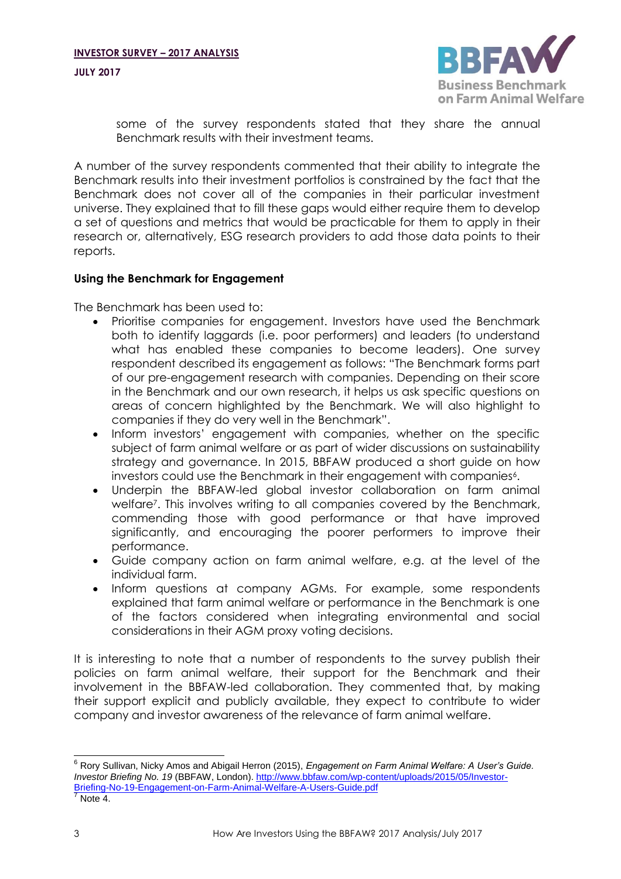**JULY 2017**



some of the survey respondents stated that they share the annual Benchmark results with their investment teams.

A number of the survey respondents commented that their ability to integrate the Benchmark results into their investment portfolios is constrained by the fact that the Benchmark does not cover all of the companies in their particular investment universe. They explained that to fill these gaps would either require them to develop a set of questions and metrics that would be practicable for them to apply in their research or, alternatively, ESG research providers to add those data points to their reports.

## **Using the Benchmark for Engagement**

The Benchmark has been used to:

- Prioritise companies for engagement. Investors have used the Benchmark both to identify laggards (i.e. poor performers) and leaders (to understand what has enabled these companies to become leaders). One survey respondent described its engagement as follows: "The Benchmark forms part of our pre-engagement research with companies. Depending on their score in the Benchmark and our own research, it helps us ask specific questions on areas of concern highlighted by the Benchmark. We will also highlight to companies if they do very well in the Benchmark".
- Inform investors' engagement with companies, whether on the specific subject of farm animal welfare or as part of wider discussions on sustainability strategy and governance. In 2015, BBFAW produced a short guide on how investors could use the Benchmark in their engagement with companies $\lq\lq$ .
- <span id="page-2-0"></span> Underpin the BBFAW-led global investor collaboration on farm animal welfare<sup>7</sup> . This involves writing to all companies covered by the Benchmark, commending those with good performance or that have improved significantly, and encouraging the poorer performers to improve their performance.
- Guide company action on farm animal welfare, e.g. at the level of the individual farm.
- Inform questions at company AGMs. For example, some respondents explained that farm animal welfare or performance in the Benchmark is one of the factors considered when integrating environmental and social considerations in their AGM proxy voting decisions.

It is interesting to note that a number of respondents to the survey publish their policies on farm animal welfare, their support for the Benchmark and their involvement in the BBFAW-led collaboration. They commented that, by making their support explicit and publicly available, they expect to contribute to wider company and investor awareness of the relevance of farm animal welfare.

 $\overline{a}$ <sup>6</sup> Rory Sullivan, Nicky Amos and Abigail Herron (2015), *Engagement on Farm Animal Welfare: A User's Guide. Investor Briefing No. 19* (BBFAW, London)[. http://www.bbfaw.com/wp-content/uploads/2015/05/Investor-](http://www.bbfaw.com/wp-content/uploads/2015/05/Investor-Briefing-No-19-Engagement-on-Farm-Animal-Welfare-A-Users-Guide.pdf)[Briefing-No-19-Engagement-on-Farm-Animal-Welfare-A-Users-Guide.pdf](http://www.bbfaw.com/wp-content/uploads/2015/05/Investor-Briefing-No-19-Engagement-on-Farm-Animal-Welfare-A-Users-Guide.pdf) Note [4.](#page-1-0)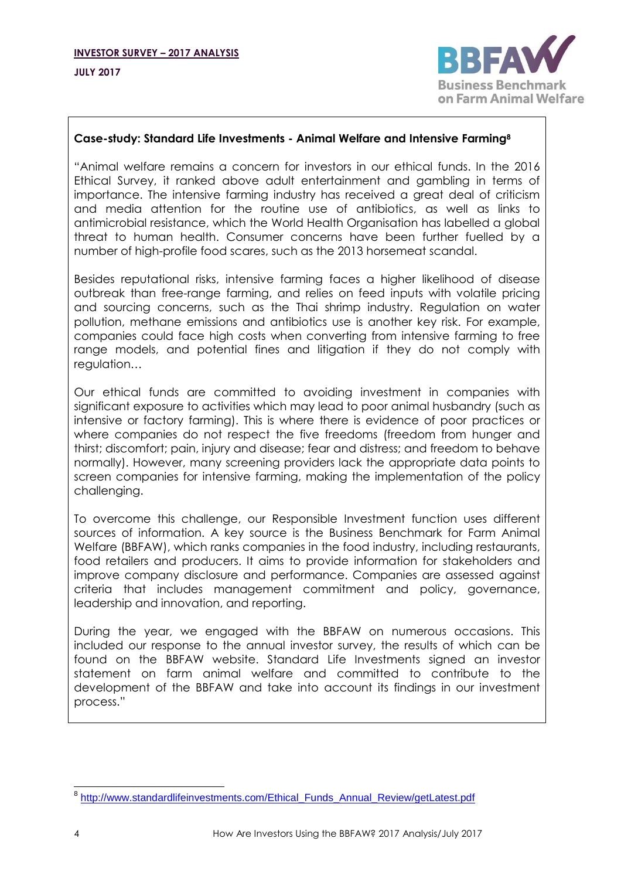

#### **Case-study: Standard Life Investments - Animal Welfare and Intensive Farming<sup>8</sup>**

"Animal welfare remains a concern for investors in our ethical funds. In the 2016 Ethical Survey, it ranked above adult entertainment and gambling in terms of importance. The intensive farming industry has received a great deal of criticism and media attention for the routine use of antibiotics, as well as links to antimicrobial resistance, which the World Health Organisation has labelled a global threat to human health. Consumer concerns have been further fuelled by a number of high-profile food scares, such as the 2013 horsemeat scandal.

Besides reputational risks, intensive farming faces a higher likelihood of disease outbreak than free-range farming, and relies on feed inputs with volatile pricing and sourcing concerns, such as the Thai shrimp industry. Regulation on water pollution, methane emissions and antibiotics use is another key risk. For example, companies could face high costs when converting from intensive farming to free range models, and potential fines and litigation if they do not comply with regulation…

Our ethical funds are committed to avoiding investment in companies with significant exposure to activities which may lead to poor animal husbandry (such as intensive or factory farming). This is where there is evidence of poor practices or where companies do not respect the five freedoms (freedom from hunger and thirst; discomfort; pain, injury and disease; fear and distress; and freedom to behave normally). However, many screening providers lack the appropriate data points to screen companies for intensive farming, making the implementation of the policy challenging.

To overcome this challenge, our Responsible Investment function uses different sources of information. A key source is the Business Benchmark for Farm Animal Welfare (BBFAW), which ranks companies in the food industry, including restaurants, food retailers and producers. It aims to provide information for stakeholders and improve company disclosure and performance. Companies are assessed against criteria that includes management commitment and policy, governance, leadership and innovation, and reporting.

During the year, we engaged with the BBFAW on numerous occasions. This included our response to the annual investor survey, the results of which can be found on the BBFAW website. Standard Life Investments signed an investor statement on farm animal welfare and committed to contribute to the development of the BBFAW and take into account its findings in our investment process."

 8 [http://www.standardlifeinvestments.com/Ethical\\_Funds\\_Annual\\_Review/getLatest.pdf](http://www.standardlifeinvestments.com/Ethical_Funds_Annual_Review/getLatest.pdf)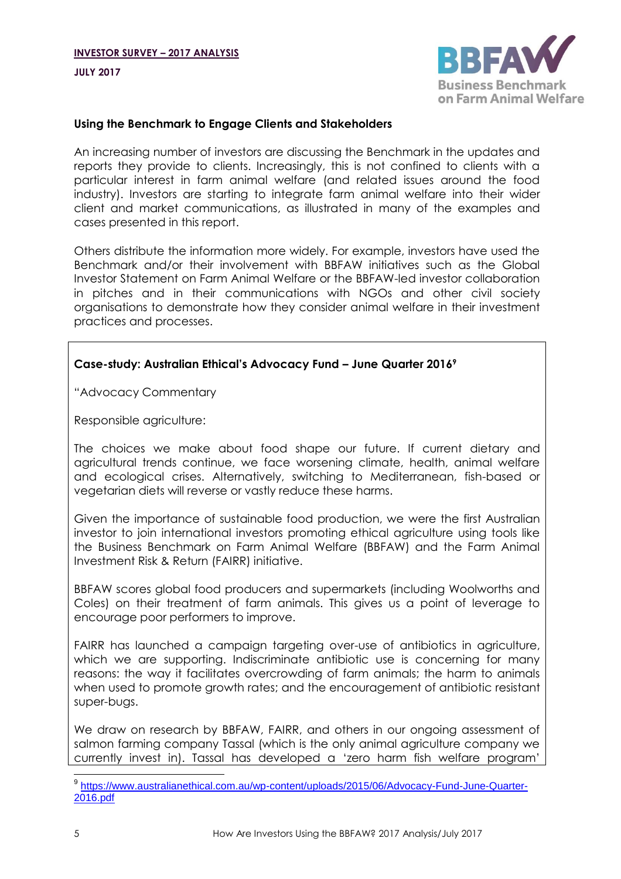**JULY 2017**



#### **Using the Benchmark to Engage Clients and Stakeholders**

An increasing number of investors are discussing the Benchmark in the updates and reports they provide to clients. Increasingly, this is not confined to clients with a particular interest in farm animal welfare (and related issues around the food industry). Investors are starting to integrate farm animal welfare into their wider client and market communications, as illustrated in many of the examples and cases presented in this report.

Others distribute the information more widely. For example, investors have used the Benchmark and/or their involvement with BBFAW initiatives such as the Global Investor Statement on Farm Animal Welfare or the BBFAW-led investor collaboration in pitches and in their communications with NGOs and other civil society organisations to demonstrate how they consider animal welfare in their investment practices and processes.

#### **Case-study: Australian Ethical's Advocacy Fund – June Quarter 2016<sup>9</sup>**

"Advocacy Commentary

Responsible agriculture:

The choices we make about food shape our future. If current dietary and agricultural trends continue, we face worsening climate, health, animal welfare and ecological crises. Alternatively, switching to Mediterranean, fish-based or vegetarian diets will reverse or vastly reduce these harms.

Given the importance of sustainable food production, we were the first Australian investor to join international investors promoting ethical agriculture using tools like the Business Benchmark on Farm Animal Welfare (BBFAW) and the Farm Animal Investment Risk & Return (FAIRR) initiative.

BBFAW scores global food producers and supermarkets (including Woolworths and Coles) on their treatment of farm animals. This gives us a point of leverage to encourage poor performers to improve.

FAIRR has launched a campaign targeting over-use of antibiotics in agriculture, which we are supporting. Indiscriminate antibiotic use is concerning for many reasons: the way it facilitates overcrowding of farm animals; the harm to animals when used to promote growth rates; and the encouragement of antibiotic resistant super-bugs.

We draw on research by BBFAW, FAIRR, and others in our ongoing assessment of salmon farming company Tassal (which is the only animal agriculture company we currently invest in). Tassal has developed a 'zero harm fish welfare program'

 9 [https://www.australianethical.com.au/wp-content/uploads/2015/06/Advocacy-Fund-June-Quarter-](https://www.australianethical.com.au/wp-content/uploads/2015/06/Advocacy-Fund-June-Quarter-2016.pdf)[2016.pdf](https://www.australianethical.com.au/wp-content/uploads/2015/06/Advocacy-Fund-June-Quarter-2016.pdf)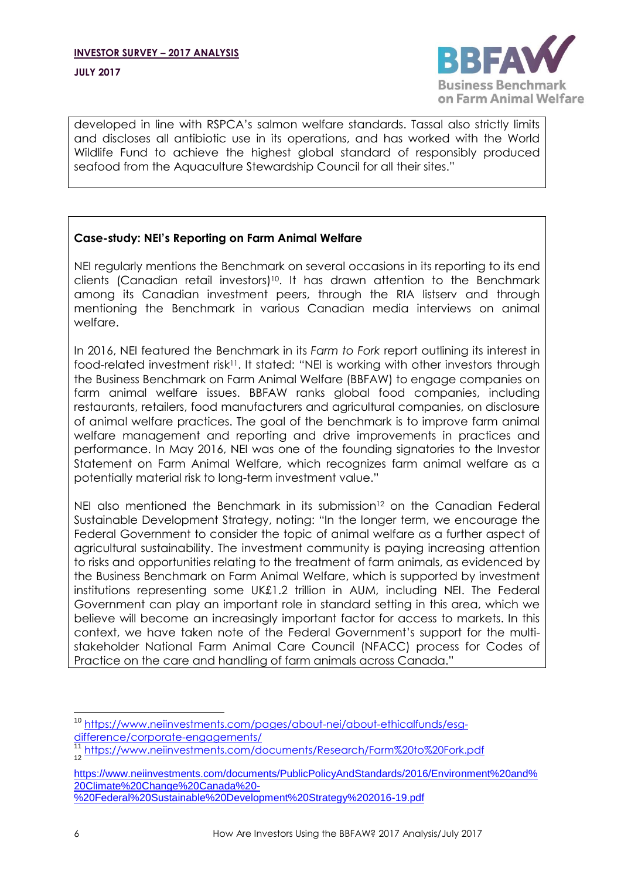

developed in line with RSPCA's salmon welfare standards. Tassal also strictly limits and discloses all antibiotic use in its operations, and has worked with the World Wildlife Fund to achieve the highest global standard of responsibly produced seafood from the Aquaculture Stewardship Council for all their sites."

## **Case-study: NEI's Reporting on Farm Animal Welfare**

NEI regularly mentions the Benchmark on several occasions in its reporting to its end clients (Canadian retail investors)<sup>10</sup> . It has drawn attention to the Benchmark among its Canadian investment peers, through the RIA listserv and through mentioning the Benchmark in various Canadian media interviews on animal welfare.

In 2016, NEI featured the Benchmark in its *Farm to Fork* report outlining its interest in food-related investment risk<sup>11</sup>. It stated: "NEI is working with other investors through the Business Benchmark on Farm Animal Welfare (BBFAW) to engage companies on farm animal welfare issues. BBFAW ranks global food companies, including restaurants, retailers, food manufacturers and agricultural companies, on disclosure of animal welfare practices. The goal of the benchmark is to improve farm animal welfare management and reporting and drive improvements in practices and performance. In May 2016, NEI was one of the founding signatories to the Investor Statement on Farm Animal Welfare, which recognizes farm animal welfare as a potentially material risk to long-term investment value."

NEI also mentioned the Benchmark in its submission<sup>12</sup> on the Canadian Federal Sustainable Development Strategy, noting: "In the longer term, we encourage the Federal Government to consider the topic of animal welfare as a further aspect of agricultural sustainability. The investment community is paying increasing attention to risks and opportunities relating to the treatment of farm animals, as evidenced by the Business Benchmark on Farm Animal Welfare, which is supported by investment institutions representing some UK£1.2 trillion in AUM, including NEI. The Federal Government can play an important role in standard setting in this area, which we believe will become an increasingly important factor for access to markets. In this context, we have taken note of the Federal Government's support for the multistakeholder National Farm Animal Care Council (NFACC) process for Codes of Practice on the care and handling of farm animals across Canada."

<sup>11</sup> <https://www.neiinvestments.com/documents/Research/Farm%20to%20Fork.pdf><br><sup>12</sup>

[https://www.neiinvestments.com/documents/PublicPolicyAndStandards/2016/Environment%20and%](https://www.neiinvestments.com/documents/PublicPolicyAndStandards/2016/Environment%20and%20Climate%20Change%20Canada%20-%20Federal%20Sustainable%20Development%20Strategy%202016-19.pdf) [20Climate%20Change%20Canada%20-](https://www.neiinvestments.com/documents/PublicPolicyAndStandards/2016/Environment%20and%20Climate%20Change%20Canada%20-%20Federal%20Sustainable%20Development%20Strategy%202016-19.pdf) [%20Federal%20Sustainable%20Development%20Strategy%202016-19.pdf](https://www.neiinvestments.com/documents/PublicPolicyAndStandards/2016/Environment%20and%20Climate%20Change%20Canada%20-%20Federal%20Sustainable%20Development%20Strategy%202016-19.pdf)

 <sup>10</sup> [https://www.neiinvestments.com/pages/about-nei/about-ethicalfunds/esg](https://www.neiinvestments.com/pages/about-nei/about-ethicalfunds/esg-difference/corporate-engagements/)[difference/corporate-engagements/](https://www.neiinvestments.com/pages/about-nei/about-ethicalfunds/esg-difference/corporate-engagements/)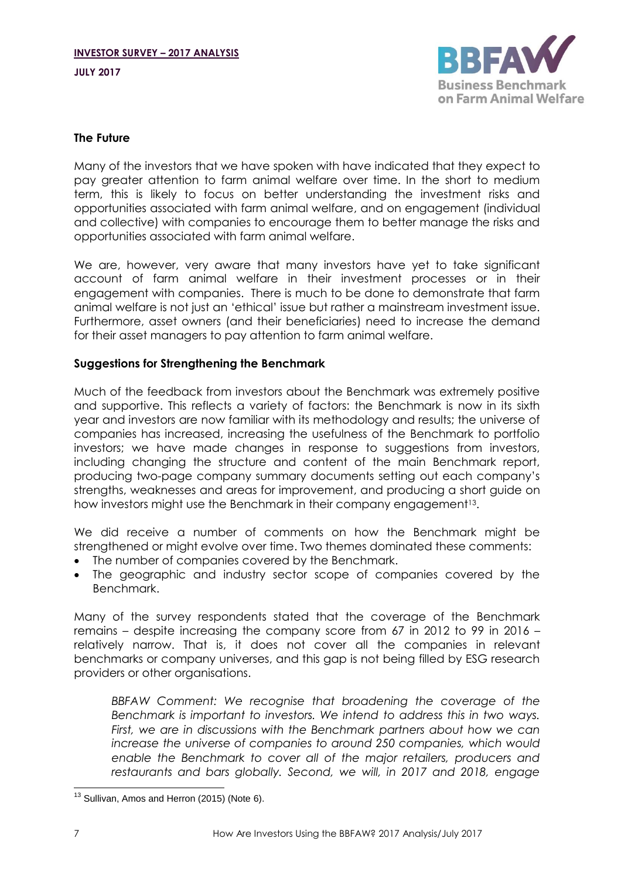**JULY 2017**



### **The Future**

Many of the investors that we have spoken with have indicated that they expect to pay greater attention to farm animal welfare over time. In the short to medium term, this is likely to focus on better understanding the investment risks and opportunities associated with farm animal welfare, and on engagement (individual and collective) with companies to encourage them to better manage the risks and opportunities associated with farm animal welfare.

We are, however, very aware that many investors have yet to take significant account of farm animal welfare in their investment processes or in their engagement with companies. There is much to be done to demonstrate that farm animal welfare is not just an 'ethical' issue but rather a mainstream investment issue. Furthermore, asset owners (and their beneficiaries) need to increase the demand for their asset managers to pay attention to farm animal welfare.

## **Suggestions for Strengthening the Benchmark**

Much of the feedback from investors about the Benchmark was extremely positive and supportive. This reflects a variety of factors: the Benchmark is now in its sixth year and investors are now familiar with its methodology and results; the universe of companies has increased, increasing the usefulness of the Benchmark to portfolio investors; we have made changes in response to suggestions from investors, including changing the structure and content of the main Benchmark report, producing two-page company summary documents setting out each company's strengths, weaknesses and areas for improvement, and producing a short guide on how investors might use the Benchmark in their company engagement<sup>13</sup>.

We did receive a number of comments on how the Benchmark might be strengthened or might evolve over time. Two themes dominated these comments:

- The number of companies covered by the Benchmark.
- The geographic and industry sector scope of companies covered by the Benchmark.

Many of the survey respondents stated that the coverage of the Benchmark remains – despite increasing the company score from 67 in 2012 to 99 in 2016 – relatively narrow. That is, it does not cover all the companies in relevant benchmarks or company universes, and this gap is not being filled by ESG research providers or other organisations.

*BBFAW Comment: We recognise that broadening the coverage of the Benchmark is important to investors. We intend to address this in two ways. First, we are in discussions with the Benchmark partners about how we can increase the universe of companies to around 250 companies, which would enable the Benchmark to cover all of the major retailers, producers and restaurants and bars globally. Second, we will, in 2017 and 2018, engage* 

  $13$  Sullivan, Amos and Herron (2015) (Not[e 6\)](#page-2-0).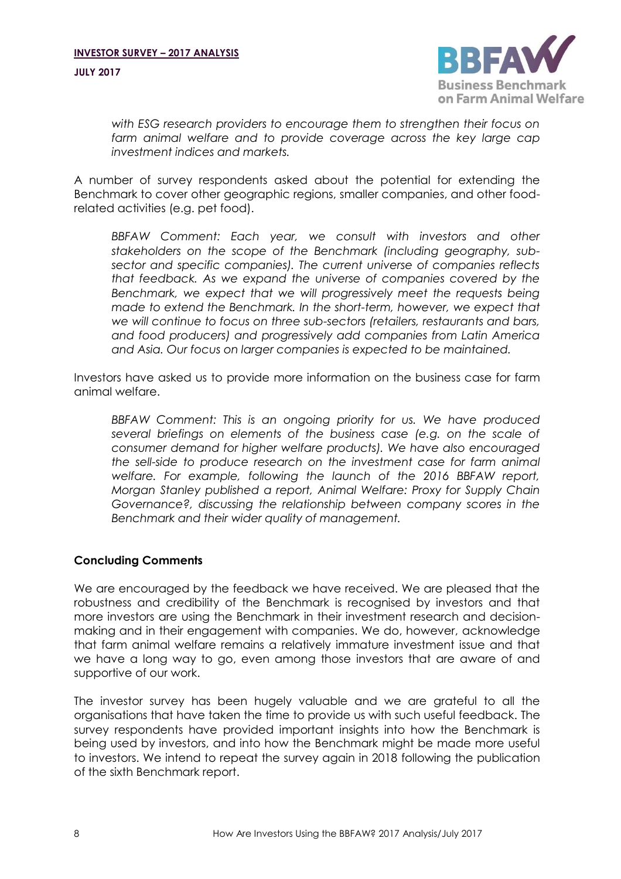

*with ESG research providers to encourage them to strengthen their focus on farm animal welfare and to provide coverage across the key large cap investment indices and markets.*

A number of survey respondents asked about the potential for extending the Benchmark to cover other geographic regions, smaller companies, and other foodrelated activities (e.g. pet food).

BBFAW Comment: Each year, we consult with investors and other *stakeholders on the scope of the Benchmark (including geography, subsector and specific companies). The current universe of companies reflects that feedback. As we expand the universe of companies covered by the Benchmark, we expect that we will progressively meet the requests being made to extend the Benchmark. In the short-term, however, we expect that we will continue to focus on three sub-sectors (retailers, restaurants and bars, and food producers) and progressively add companies from Latin America and Asia. Our focus on larger companies is expected to be maintained.*

Investors have asked us to provide more information on the business case for farm animal welfare.

*BBFAW Comment: This is an ongoing priority for us. We have produced several briefings on elements of the business case (e.g. on the scale of consumer demand for higher welfare products). We have also encouraged the sell-side to produce research on the investment case for farm animal welfare. For example, following the launch of the 2016 BBFAW report, Morgan Stanley published a report, Animal Welfare: Proxy for Supply Chain Governance?, discussing the relationship between company scores in the Benchmark and their wider quality of management.*

## **Concluding Comments**

We are encouraged by the feedback we have received. We are pleased that the robustness and credibility of the Benchmark is recognised by investors and that more investors are using the Benchmark in their investment research and decisionmaking and in their engagement with companies. We do, however, acknowledge that farm animal welfare remains a relatively immature investment issue and that we have a long way to go, even among those investors that are aware of and supportive of our work.

The investor survey has been hugely valuable and we are grateful to all the organisations that have taken the time to provide us with such useful feedback. The survey respondents have provided important insights into how the Benchmark is being used by investors, and into how the Benchmark might be made more useful to investors. We intend to repeat the survey again in 2018 following the publication of the sixth Benchmark report.